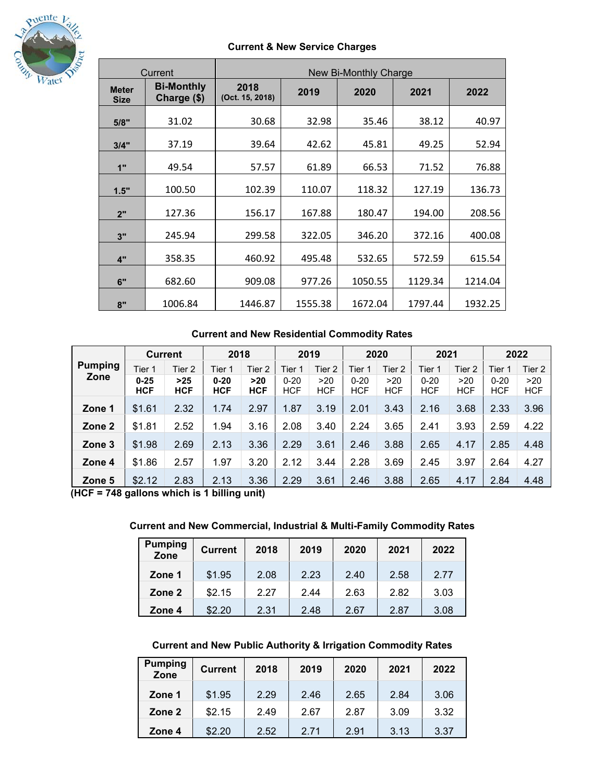

## **Current & New Service Charges**

| Current                     |                                  | New Bi-Monthly Charge   |         |         |         |         |  |  |  |
|-----------------------------|----------------------------------|-------------------------|---------|---------|---------|---------|--|--|--|
| <b>Meter</b><br><b>Size</b> | <b>Bi-Monthly</b><br>Charge (\$) | 2018<br>(Oct. 15, 2018) | 2019    | 2020    | 2021    | 2022    |  |  |  |
| 5/8"                        | 31.02                            | 30.68                   | 32.98   | 35.46   | 38.12   | 40.97   |  |  |  |
| 3/4"                        | 37.19                            | 39.64                   | 42.62   | 45.81   | 49.25   | 52.94   |  |  |  |
| 1"                          | 49.54                            | 57.57                   | 61.89   | 66.53   | 71.52   | 76.88   |  |  |  |
| 1.5"                        | 100.50                           | 102.39                  | 110.07  | 118.32  | 127.19  | 136.73  |  |  |  |
| 2"                          | 127.36                           | 156.17                  | 167.88  | 180.47  | 194.00  | 208.56  |  |  |  |
| 3"                          | 245.94                           | 299.58                  | 322.05  | 346.20  | 372.16  | 400.08  |  |  |  |
| 4"                          | 358.35                           | 460.92                  | 495.48  | 532.65  | 572.59  | 615.54  |  |  |  |
| 6"                          | 682.60                           | 909.08                  | 977.26  | 1050.55 | 1129.34 | 1214.04 |  |  |  |
| 8"                          | 1006.84                          | 1446.87                 | 1555.38 | 1672.04 | 1797.44 | 1932.25 |  |  |  |

# **Current and New Residential Commodity Rates**

|                | <b>Current</b>         |                     | 2018                   |                     | 2019                   |                   | 2020                   |                   | 2021                   |                   | 2022                   |                   |
|----------------|------------------------|---------------------|------------------------|---------------------|------------------------|-------------------|------------------------|-------------------|------------------------|-------------------|------------------------|-------------------|
| <b>Pumping</b> | Tier 1                 | Tier 2              | Tier 1                 | Tier 2              | Tier 1                 | Tier 2            | Tier 1                 | Tier 2            | Tier 1                 | Tier 2            | Tier 1                 | Tier 2            |
| Zone           | $0 - 25$<br><b>HCF</b> | $>25$<br><b>HCF</b> | $0 - 20$<br><b>HCF</b> | $>20$<br><b>HCF</b> | $0 - 20$<br><b>HCF</b> | >20<br><b>HCF</b> | $0 - 20$<br><b>HCF</b> | >20<br><b>HCF</b> | $0 - 20$<br><b>HCF</b> | >20<br><b>HCF</b> | $0 - 20$<br><b>HCF</b> | >20<br><b>HCF</b> |
|                |                        |                     |                        |                     |                        |                   |                        |                   |                        |                   |                        |                   |
| Zone 1         | \$1.61                 | 2.32                | 1.74                   | 2.97                | 1.87                   | 3.19              | 2.01                   | 3.43              | 2.16                   | 3.68              | 2.33                   | 3.96              |
| Zone 2         | \$1.81                 | 2.52                | 1.94                   | 3.16                | 2.08                   | 3.40              | 2.24                   | 3.65              | 2.41                   | 3.93              | 2.59                   | 4.22              |
| Zone 3         | \$1.98                 | 2.69                | 2.13                   | 3.36                | 2.29                   | 3.61              | 2.46                   | 3.88              | 2.65                   | 4.17              | 2.85                   | 4.48              |
| Zone 4         | \$1.86                 | 2.57                | 1.97                   | 3.20                | 2.12                   | 3.44              | 2.28                   | 3.69              | 2.45                   | 3.97              | 2.64                   | 4.27              |
| Zone 5         | \$2.12                 | 2.83                | 2.13                   | 3.36                | 2.29                   | 3.61              | 2.46                   | 3.88              | 2.65                   | 4.17              | 2.84                   | 4.48              |

**(HCF = 748 gallons which is 1 billing unit)** 

## **Current and New Commercial, Industrial & Multi-Family Commodity Rates**

| <b>Pumping</b><br>Zone | <b>Current</b> | 2018 | 2019 | 2020 | 2021 | 2022 |
|------------------------|----------------|------|------|------|------|------|
| Zone 1                 | \$1.95         | 2.08 | 2.23 | 2.40 | 2.58 | 2.77 |
| Zone 2                 | \$2.15         | 2.27 | 2.44 | 2.63 | 2.82 | 3.03 |
| Zone 4                 | \$2.20         | 2.31 | 2.48 | 2.67 | 2.87 | 3.08 |

## **Current and New Public Authority & Irrigation Commodity Rates**

| <b>Pumping</b><br>Zone | <b>Current</b> | 2018 | 2019 | 2020 | 2021 | 2022 |
|------------------------|----------------|------|------|------|------|------|
| Zone 1                 | \$1.95         | 2.29 | 2.46 | 2.65 | 2.84 | 3.06 |
| Zone 2                 | \$2.15         | 2.49 | 2.67 | 2.87 | 3.09 | 3.32 |
| Zone 4                 | \$2.20         | 2.52 | 2.71 | 2.91 | 3.13 | 3.37 |